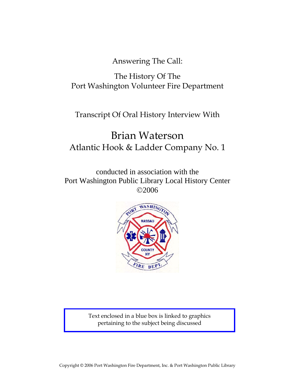Answering The Call:

# The History Of The Port Washington Volunteer Fire Department

# Transcript Of Oral History Interview With

# Brian Waterson Atlantic Hook & Ladder Company No. 1

conducted in association with the Port Washington Public Library Local History Center ©2006



Text enclosed in a blue box is linked to graphics pertaining to the subject being discussed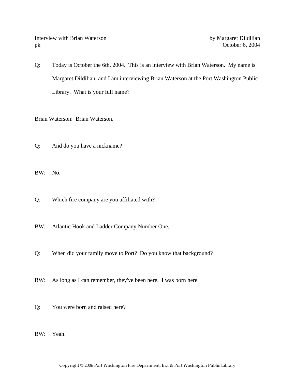Interview with Brian Waterson by Margaret Dildilian pk October 6, 2004

Q: Today is October the 6th, 2004. This is an interview with Brian Waterson. My name is Margaret Dildilian, and I am interviewing Brian Waterson at the Port Washington Public Library. What is your full name?

Brian Waterson: Brian Waterson.

Q: And do you have a nickname?

BW: No.

Q: Which fire company are you affiliated with?

BW: Atlantic Hook and Ladder Company Number One.

- Q: When did your family move to Port? Do you know that background?
- BW: As long as I can remember, they've been here. I was born here.
- Q: You were born and raised here?

BW: Yeah.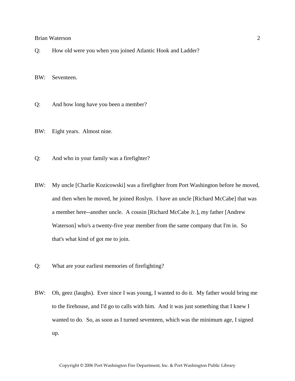Q: How old were you when you joined Atlantic Hook and Ladder?

BW: Seventeen.

- Q: And how long have you been a member?
- BW: Eight years. Almost nine.
- Q: And who in your family was a firefighter?
- BW: My uncle [Charlie Kozicowski] was a firefighter from Port Washington before he moved, and then when he moved, he joined Roslyn. I have an uncle [Richard McCabe] that was a member here--another uncle. A cousin [Richard McCabe Jr.], my father [Andrew Waterson] who's a twenty-five year member from the same company that I'm in. So that's what kind of got me to join.
- Q: What are your earliest memories of firefighting?
- BW: Oh, geez (laughs). Ever since I was young, I wanted to do it. My father would bring me to the firehouse, and I'd go to calls with him. And it was just something that I knew I wanted to do. So, as soon as I turned seventeen, which was the minimum age, I signed up.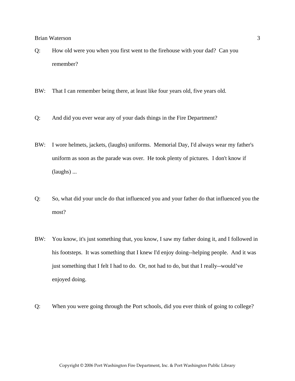- Q: How old were you when you first went to the firehouse with your dad? Can you remember?
- BW: That I can remember being there, at least like four years old, five years old.
- Q: And did you ever wear any of your dads things in the Fire Department?
- BW: I wore helmets, jackets, (laughs) uniforms. Memorial Day, I'd always wear my father's uniform as soon as the parade was over. He took plenty of pictures. I don't know if (laughs) ...
- Q: So, what did your uncle do that influenced you and your father do that influenced you the most?
- BW: You know, it's just something that, you know, I saw my father doing it, and I followed in his footsteps. It was something that I knew I'd enjoy doing--helping people. And it was just something that I felt I had to do. Or, not had to do, but that I really--would've enjoyed doing.
- Q: When you were going through the Port schools, did you ever think of going to college?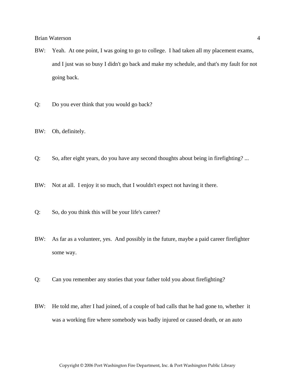- BW: Yeah. At one point, I was going to go to college. I had taken all my placement exams, and I just was so busy I didn't go back and make my schedule, and that's my fault for not going back.
- Q: Do you ever think that you would go back?
- BW: Oh, definitely.
- Q: So, after eight years, do you have any second thoughts about being in firefighting? ...
- BW: Not at all. I enjoy it so much, that I wouldn't expect not having it there.
- Q: So, do you think this will be your life's career?
- BW: As far as a volunteer, yes. And possibly in the future, maybe a paid career firefighter some way.
- Q: Can you remember any stories that your father told you about firefighting?
- BW: He told me, after I had joined, of a couple of bad calls that he had gone to, whether it was a working fire where somebody was badly injured or caused death, or an auto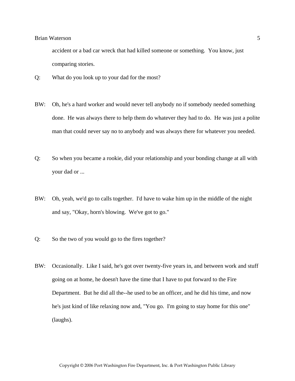accident or a bad car wreck that had killed someone or something. You know, just comparing stories.

- Q: What do you look up to your dad for the most?
- BW: Oh, he's a hard worker and would never tell anybody no if somebody needed something done. He was always there to help them do whatever they had to do. He was just a polite man that could never say no to anybody and was always there for whatever you needed.
- Q: So when you became a rookie, did your relationship and your bonding change at all with your dad or ...
- BW: Oh, yeah, we'd go to calls together. I'd have to wake him up in the middle of the night and say, "Okay, horn's blowing. We've got to go."
- Q: So the two of you would go to the fires together?
- BW: Occasionally. Like I said, he's got over twenty-five years in, and between work and stuff going on at home, he doesn't have the time that I have to put forward to the Fire Department. But he did all the--he used to be an officer, and he did his time, and now he's just kind of like relaxing now and, "You go. I'm going to stay home for this one" (laughs).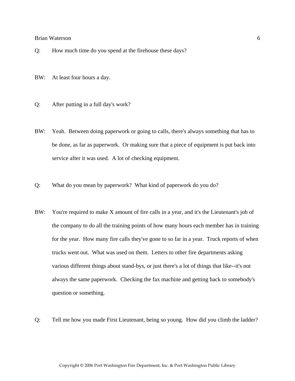- Q: How much time do you spend at the firehouse these days?
- BW: At least four hours a day.
- Q: After putting in a full day's work?
- BW: Yeah. Between doing paperwork or going to calls, there's always something that has to be done, as far as paperwork. Or making sure that a piece of equipment is put back into service after it was used. A lot of checking equipment.
- Q: What do you mean by paperwork? What kind of paperwork do you do?
- BW: You're required to make X amount of fire calls in a year, and it's the Lieutenant's job of the company to do all the training points of how many hours each member has in training for the year. How many fire calls they've gone to so far in a year. Truck reports of when trucks went out. What was used on them. Letters to other fire departments asking various different things about stand-bys, or just there's a lot of things that like--it's not always the same paperwork. Checking the fax machine and getting back to somebody's question or something.
- Q: Tell me how you made First Lieutenant, being so young. How did you climb the ladder?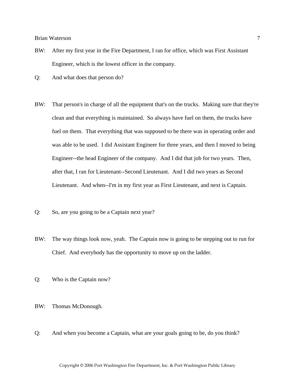- BW: After my first year in the Fire Department, I ran for office, which was First Assistant Engineer, which is the lowest officer in the company.
- Q: And what does that person do?
- BW: That person's in charge of all the equipment that's on the trucks. Making sure that they're clean and that everything is maintained. So always have fuel on them, the trucks have fuel on them. That everything that was supposed to be there was in operating order and was able to be used. I did Assistant Engineer for three years, and then I moved to being Engineer--the head Engineer of the company. And I did that job for two years. Then, after that, I ran for Lieutenant--Second Lieutenant. And I did two years as Second Lieutenant. And when--I'm in my first year as First Lieutenant, and next is Captain.
- Q: So, are you going to be a Captain next year?
- BW: The way things look now, yeah. The Captain now is going to be stepping out to run for Chief. And everybody has the opportunity to move up on the ladder.
- Q: Who is the Captain now?
- BW: Thomas McDonough.
- Q: And when you become a Captain, what are your goals going to be, do you think?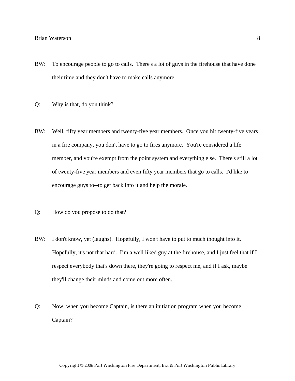- BW: To encourage people to go to calls. There's a lot of guys in the firehouse that have done their time and they don't have to make calls anymore.
- Q: Why is that, do you think?
- BW: Well, fifty year members and twenty-five year members. Once you hit twenty-five years in a fire company, you don't have to go to fires anymore. You're considered a life member, and you're exempt from the point system and everything else. There's still a lot of twenty-five year members and even fifty year members that go to calls. I'd like to encourage guys to--to get back into it and help the morale.
- Q: How do you propose to do that?
- BW: I don't know, yet (laughs). Hopefully, I won't have to put to much thought into it. Hopefully, it's not that hard. I'm a well liked guy at the firehouse, and I just feel that if I respect everybody that's down there, they're going to respect me, and if I ask, maybe they'll change their minds and come out more often.
- Q: Now, when you become Captain, is there an initiation program when you become Captain?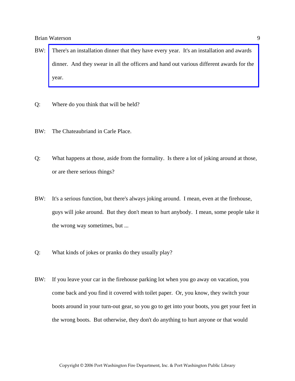- BW: [There's an installation dinner that they have every year. It's an installation and awards](http://www.pwfdhistory.com/trans/watersonb_trans/pwfd_officers003_web.jpg)  dinner. And they swear in all the officers and hand out various different awards for the year.
- Q: Where do you think that will be held?
- BW: The Chateaubriand in Carle Place.
- Q: What happens at those, aside from the formality. Is there a lot of joking around at those, or are there serious things?
- BW: It's a serious function, but there's always joking around. I mean, even at the firehouse, guys will joke around. But they don't mean to hurt anybody. I mean, some people take it the wrong way sometimes, but ...
- Q: What kinds of jokes or pranks do they usually play?
- BW: If you leave your car in the firehouse parking lot when you go away on vacation, you come back and you find it covered with toilet paper. Or, you know, they switch your boots around in your turn-out gear, so you go to get into your boots, you get your feet in the wrong boots. But otherwise, they don't do anything to hurt anyone or that would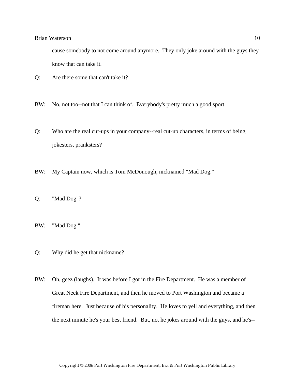cause somebody to not come around anymore. They only joke around with the guys they know that can take it.

- Q: Are there some that can't take it?
- BW: No, not too--not that I can think of. Everybody's pretty much a good sport.
- Q: Who are the real cut-ups in your company--real cut-up characters, in terms of being jokesters, pranksters?
- BW: My Captain now, which is Tom McDonough, nicknamed "Mad Dog."
- Q: "Mad Dog"?
- BW: "Mad Dog."
- Q: Why did he get that nickname?
- BW: Oh, geez (laughs). It was before I got in the Fire Department. He was a member of Great Neck Fire Department, and then he moved to Port Washington and became a fireman here. Just because of his personality. He loves to yell and everything, and then the next minute he's your best friend. But, no, he jokes around with the guys, and he's--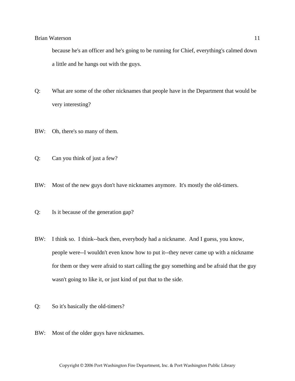because he's an officer and he's going to be running for Chief, everything's calmed down a little and he hangs out with the guys.

- Q: What are some of the other nicknames that people have in the Department that would be very interesting?
- BW: Oh, there's so many of them.
- Q: Can you think of just a few?
- BW: Most of the new guys don't have nicknames anymore. It's mostly the old-timers.
- Q: Is it because of the generation gap?
- BW: I think so. I think--back then, everybody had a nickname. And I guess, you know, people were--I wouldn't even know how to put it--they never came up with a nickname for them or they were afraid to start calling the guy something and be afraid that the guy wasn't going to like it, or just kind of put that to the side.
- Q: So it's basically the old-timers?
- BW: Most of the older guys have nicknames.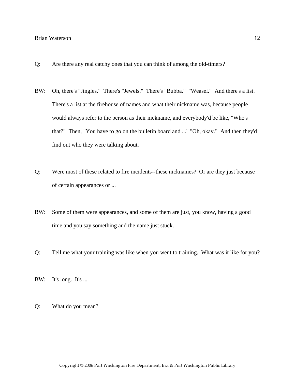- Q: Are there any real catchy ones that you can think of among the old-timers?
- BW: Oh, there's "Jingles." There's "Jewels." There's "Bubba." "Weasel." And there's a list. There's a list at the firehouse of names and what their nickname was, because people would always refer to the person as their nickname, and everybody'd be like, "Who's that?" Then, "You have to go on the bulletin board and ..." "Oh, okay." And then they'd find out who they were talking about.
- Q: Were most of these related to fire incidents--these nicknames? Or are they just because of certain appearances or ...
- BW: Some of them were appearances, and some of them are just, you know, having a good time and you say something and the name just stuck.
- Q: Tell me what your training was like when you went to training. What was it like for you?
- BW: It's long. It's ...
- Q: What do you mean?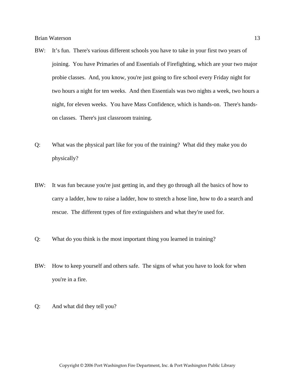- BW: It's fun. There's various different schools you have to take in your first two years of joining. You have Primaries of and Essentials of Firefighting, which are your two major probie classes. And, you know, you're just going to fire school every Friday night for two hours a night for ten weeks. And then Essentials was two nights a week, two hours a night, for eleven weeks. You have Mass Confidence, which is hands-on. There's handson classes. There's just classroom training.
- Q: What was the physical part like for you of the training? What did they make you do physically?
- BW: It was fun because you're just getting in, and they go through all the basics of how to carry a ladder, how to raise a ladder, how to stretch a hose line, how to do a search and rescue. The different types of fire extinguishers and what they're used for.
- Q: What do you think is the most important thing you learned in training?
- BW: How to keep yourself and others safe. The signs of what you have to look for when you're in a fire.
- Q: And what did they tell you?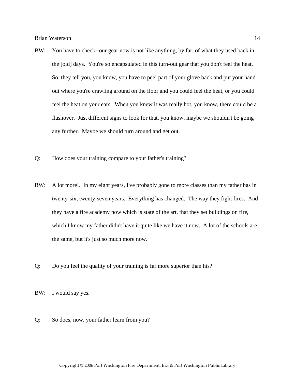- BW: You have to check--our gear now is not like anything, by far, of what they used back in the [old] days. You're so encapsulated in this turn-out gear that you don't feel the heat. So, they tell you, you know, you have to peel part of your glove back and put your hand out where you're crawling around on the floor and you could feel the heat, or you could feel the heat on your ears. When you knew it was really hot, you know, there could be a flashover. Just different signs to look for that, you know, maybe we shouldn't be going any further. Maybe we should turn around and get out.
- Q: How does your training compare to your father's training?
- BW: A lot more!. In my eight years, I've probably gone to more classes than my father has in twenty-six, twenty-seven years. Everything has changed. The way they fight fires. And they have a fire academy now which is state of the art, that they set buildings on fire, which I know my father didn't have it quite like we have it now. A lot of the schools are the same, but it's just so much more now.
- Q: Do you feel the quality of your training is far more superior than his?
- BW: I would say yes.
- Q: So does, now, your father learn from you?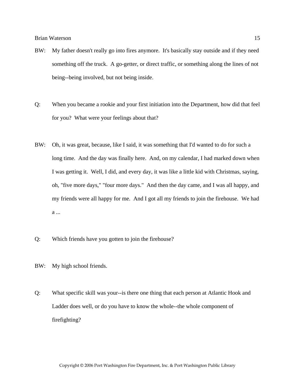- BW: My father doesn't really go into fires anymore. It's basically stay outside and if they need something off the truck. A go-getter, or direct traffic, or something along the lines of not being--being involved, but not being inside.
- Q: When you became a rookie and your first initiation into the Department, how did that feel for you? What were your feelings about that?
- BW: Oh, it was great, because, like I said, it was something that I'd wanted to do for such a long time. And the day was finally here. And, on my calendar, I had marked down when I was getting it. Well, I did, and every day, it was like a little kid with Christmas, saying, oh, "five more days," "four more days." And then the day came, and I was all happy, and my friends were all happy for me. And I got all my friends to join the firehouse. We had a ...
- Q: Which friends have you gotten to join the firehouse?
- BW: My high school friends.
- Q: What specific skill was your--is there one thing that each person at Atlantic Hook and Ladder does well, or do you have to know the whole--the whole component of firefighting?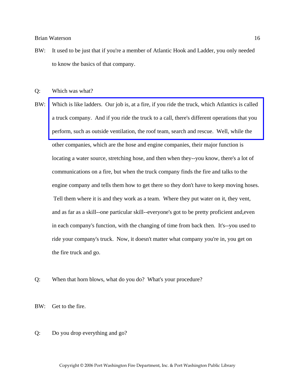BW: It used to be just that if you're a member of Atlantic Hook and Ladder, you only needed to know the basics of that company.

Q: Which was what?

- BW: [Which is like ladders. Our job is, at a fire, if you ride the truck, which Atlantics is called](http://www.pwfdhistory.com/trans/watersonb_trans/pwfd_fires16_web.jpg)  a truck company. And if you ride the truck to a call, there's different operations that you perform, such as outside ventilation, the roof team, search and rescue. Well, while the other companies, which are the hose and engine companies, their major function is locating a water source, stretching hose, and then when they--you know, there's a lot of communications on a fire, but when the truck company finds the fire and talks to the engine company and tells them how to get there so they don't have to keep moving hoses. Tell them where it is and they work as a team. Where they put water on it, they vent, and as far as a skill--one particular skill--everyone's got to be pretty proficient and,even in each company's function, with the changing of time from back then. It's--you used to ride your company's truck. Now, it doesn't matter what company you're in, you get on the fire truck and go.
- Q: When that horn blows, what do you do? What's your procedure?

BW: Get to the fire.

# Q: Do you drop everything and go?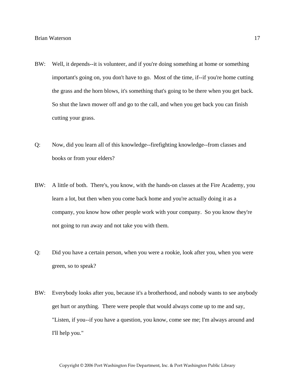- BW: Well, it depends--it is volunteer, and if you're doing something at home or something important's going on, you don't have to go. Most of the time, if--if you're home cutting the grass and the horn blows, it's something that's going to be there when you get back. So shut the lawn mower off and go to the call, and when you get back you can finish cutting your grass.
- Q: Now, did you learn all of this knowledge--firefighting knowledge--from classes and books or from your elders?
- BW: A little of both. There's, you know, with the hands-on classes at the Fire Academy, you learn a lot, but then when you come back home and you're actually doing it as a company, you know how other people work with your company. So you know they're not going to run away and not take you with them.
- Q: Did you have a certain person, when you were a rookie, look after you, when you were green, so to speak?
- BW: Everybody looks after you, because it's a brotherhood, and nobody wants to see anybody get hurt or anything. There were people that would always come up to me and say, "Listen, if you--if you have a question, you know, come see me; I'm always around and I'll help you."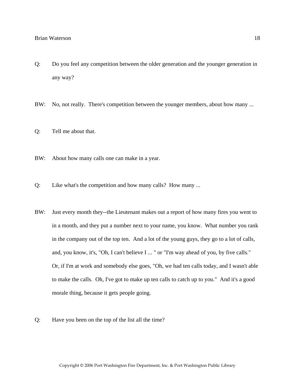- Q: Do you feel any competition between the older generation and the younger generation in any way?
- BW: No, not really. There's competition between the younger members, about how many ...
- Q: Tell me about that.
- BW: About how many calls one can make in a year.
- Q: Like what's the competition and how many calls? How many ...
- BW: Just every month they--the Lieutenant makes out a report of how many fires you went to in a month, and they put a number next to your name, you know. What number you rank in the company out of the top ten. And a lot of the young guys, they go to a lot of calls, and, you know, it's, "Oh, I can't believe I ... " or "I'm way ahead of you, by five calls." Or, if I'm at work and somebody else goes, "Oh, we had ten calls today, and I wasn't able to make the calls. Oh, I've got to make up ten calls to catch up to you." And it's a good morale thing, because it gets people going.
- Q: Have you been on the top of the list all the time?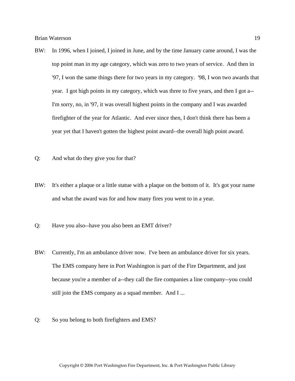- BW: In 1996, when I joined, I joined in June, and by the time January came around, I was the top point man in my age category, which was zero to two years of service. And then in '97, I won the same things there for two years in my category. '98, I won two awards that year. I got high points in my category, which was three to five years, and then I got a-- I'm sorry, no, in '97, it was overall highest points in the company and I was awarded firefighter of the year for Atlantic. And ever since then, I don't think there has been a year yet that I haven't gotten the highest point award--the overall high point award.
- Q: And what do they give you for that?
- BW: It's either a plaque or a little statue with a plaque on the bottom of it. It's got your name and what the award was for and how many fires you went to in a year.
- Q: Have you also--have you also been an EMT driver?
- BW: Currently, I'm an ambulance driver now. I've been an ambulance driver for six years. The EMS company here in Port Washington is part of the Fire Department, and just because you're a member of a--they call the fire companies a line company--you could still join the EMS company as a squad member. And I ...
- Q: So you belong to both firefighters and EMS?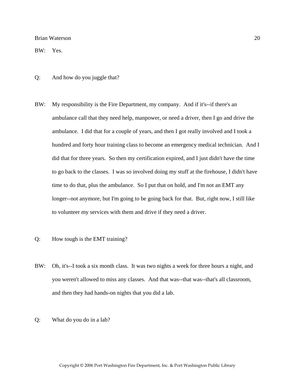BW: Yes.

- Q: And how do you juggle that?
- BW: My responsibility is the Fire Department, my company. And if it's--if there's an ambulance call that they need help, manpower, or need a driver, then I go and drive the ambulance. I did that for a couple of years, and then I got really involved and I took a hundred and forty hour training class to become an emergency medical technician. And I did that for three years. So then my certification expired, and I just didn't have the time to go back to the classes. I was so involved doing my stuff at the firehouse, I didn't have time to do that, plus the ambulance. So I put that on hold, and I'm not an EMT any longer--not anymore, but I'm going to be going back for that. But, right now, I still like to volunteer my services with them and drive if they need a driver.
- Q: How tough is the EMT training?
- BW: Oh, it's--I took a six month class. It was two nights a week for three hours a night, and you weren't allowed to miss any classes. And that was--that was--that's all classroom, and then they had hands-on nights that you did a lab.
- Q: What do you do in a lab?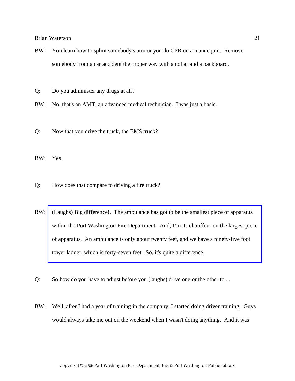- BW: You learn how to splint somebody's arm or you do CPR on a mannequin. Remove somebody from a car accident the proper way with a collar and a backboard.
- Q: Do you administer any drugs at all?
- BW: No, that's an AMT, an advanced medical technician. I was just a basic.
- Q: Now that you drive the truck, the EMS truck?

BW: Yes.

- Q: How does that compare to driving a fire truck?
- BW: (Laughs) Big difference!. The ambulance has got to be the smallest piece of apparatus within the Port Washington Fire Department. And, I'm its chauffeur on the largest piece of apparatus. An ambulance is only about twenty feet, and we have a ninety-five foot tower ladder, which is forty-seven feet. So, it's quite a difference.
- Q: So how do you have to adjust before you (laughs) drive one or the other to ...
- BW: Well, after I had a year of training in the company, I started doing driver training. Guys would always take me out on the weekend when I wasn't doing anything. And it was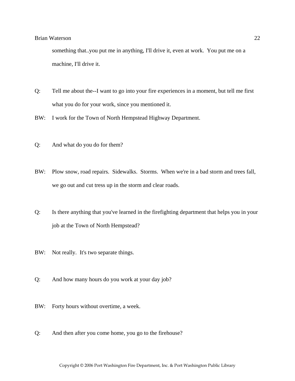something that..you put me in anything, I'll drive it, even at work. You put me on a machine, I'll drive it.

- Q: Tell me about the--I want to go into your fire experiences in a moment, but tell me first what you do for your work, since you mentioned it.
- BW: I work for the Town of North Hempstead Highway Department.
- Q: And what do you do for them?
- BW: Plow snow, road repairs. Sidewalks. Storms. When we're in a bad storm and trees fall, we go out and cut tress up in the storm and clear roads.
- Q: Is there anything that you've learned in the firefighting department that helps you in your job at the Town of North Hempstead?
- BW: Not really. It's two separate things.
- Q: And how many hours do you work at your day job?
- BW: Forty hours without overtime, a week.
- Q: And then after you come home, you go to the firehouse?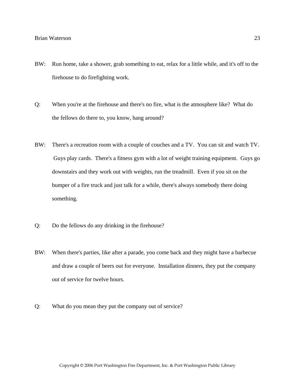- BW: Run home, take a shower, grab something to eat, relax for a little while, and it's off to the firehouse to do firefighting work.
- Q: When you're at the firehouse and there's no fire, what is the atmosphere like? What do the fellows do there to, you know, hang around?
- BW: There's a recreation room with a couple of couches and a TV. You can sit and watch TV. Guys play cards. There's a fitness gym with a lot of weight training equipment. Guys go downstairs and they work out with weights, run the treadmill. Even if you sit on the bumper of a fire truck and just talk for a while, there's always somebody there doing something.
- Q: Do the fellows do any drinking in the firehouse?
- BW: When there's parties, like after a parade, you come back and they might have a barbecue and draw a couple of beers out for everyone. Installation dinners, they put the company out of service for twelve hours.
- Q: What do you mean they put the company out of service?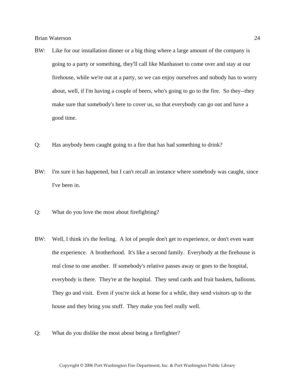- BW: Like for our installation dinner or a big thing where a large amount of the company is going to a party or something, they'll call like Manhasset to come over and stay at our firehouse, while we're out at a party, so we can enjoy ourselves and nobody has to worry about, well, if I'm having a couple of beers, who's going to go to the fire. So they--they make sure that somebody's here to cover us, so that everybody can go out and have a good time.
- Q: Has anybody been caught going to a fire that has had something to drink?
- BW: I'm sure it has happened, but I can't recall an instance where somebody was caught, since I've been in.
- Q: What do you love the most about firefighting?
- BW: Well, I think it's the feeling. A lot of people don't get to experience, or don't even want the experience. A brotherhood. It's like a second family. Everybody at the firehouse is real close to one another. If somebody's relative passes away or goes to the hospital, everybody is there. They're at the hospital. They send cards and fruit baskets, balloons. They go and visit. Even if you're sick at home for a while, they send visitors up to the house and they bring you stuff. They make you feel really well.
- Q: What do you dislike the most about being a firefighter?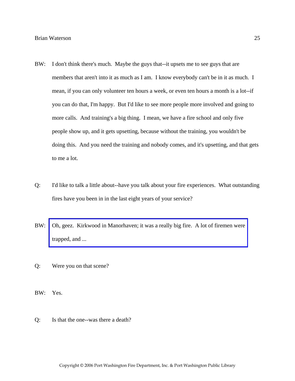- BW: I don't think there's much. Maybe the guys that--it upsets me to see guys that are members that aren't into it as much as I am. I know everybody can't be in it as much. I mean, if you can only volunteer ten hours a week, or even ten hours a month is a lot--if you can do that, I'm happy. But I'd like to see more people more involved and going to more calls. And training's a big thing. I mean, we have a fire school and only five people show up, and it gets upsetting, because without the training, you wouldn't be doing this. And you need the training and nobody comes, and it's upsetting, and that gets to me a lot.
- Q: I'd like to talk a little about--have you talk about your fire experiences. What outstanding fires have you been in in the last eight years of your service?
- BW: [Oh, geez. Kirkwood in Manorhaven; it was a really big fire. A lot of firemen were](http://www.pwfdhistory.com/trans/watersonb_trans/pwfd_news065.pdf)  trapped, and ...
- Q: Were you on that scene?
- BW: Yes.
- Q: Is that the one--was there a death?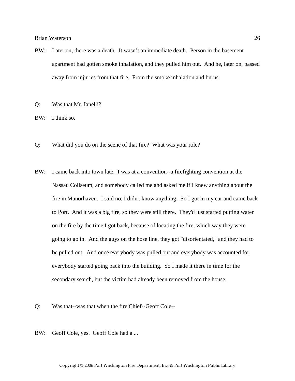- BW: Later on, there was a death. It wasn't an immediate death. Person in the basement apartment had gotten smoke inhalation, and they pulled him out. And he, later on, passed away from injuries from that fire. From the smoke inhalation and burns.
- Q: Was that Mr. Ianelli?
- BW: I think so.
- Q: What did you do on the scene of that fire? What was your role?
- BW: I came back into town late. I was at a convention--a firefighting convention at the Nassau Coliseum, and somebody called me and asked me if I knew anything about the fire in Manorhaven. I said no, I didn't know anything. So I got in my car and came back to Port. And it was a big fire, so they were still there. They'd just started putting water on the fire by the time I got back, because of locating the fire, which way they were going to go in. And the guys on the hose line, they got "disorientated," and they had to be pulled out. And once everybody was pulled out and everybody was accounted for, everybody started going back into the building. So I made it there in time for the secondary search, but the victim had already been removed from the house.
- Q: Was that--was that when the fire Chief--Geoff Cole--
- BW: Geoff Cole, yes. Geoff Cole had a ...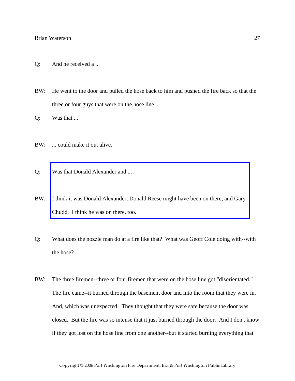- Q: And he received a ...
- BW: He went to the door and pulled the hose back to him and pushed the fire back so that the three or four guys that were on the hose line ...
- Q: Was that ...
- BW: ... could make it out alive.
- Q: Was that Donald Alexander and ...
- BW: [I think it was Donald Alexander, Donald Reese might have been on there, and Gary](http://www.pwfdhistory.com/trans/watersonb_trans/peco_members045_web.jpg)  Chudd. I think he was on there, too.
- Q: What does the nozzle man do at a fire like that? What was Geoff Cole doing with--with the hose?
- BW: The three firemen--three or four firemen that were on the hose line got "disorientated." The fire came--it burned through the basement door and into the room that they were in. And, which was unexpected. They thought that they were safe because the door was closed. But the fire was so intense that it just burned through the door. And I don't know if they got lost on the hose line from one another--but it started burning everything that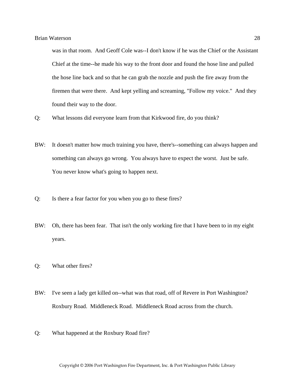was in that room. And Geoff Cole was--I don't know if he was the Chief or the Assistant Chief at the time--he made his way to the front door and found the hose line and pulled the hose line back and so that he can grab the nozzle and push the fire away from the firemen that were there. And kept yelling and screaming, "Follow my voice." And they found their way to the door.

- Q: What lessons did everyone learn from that Kirkwood fire, do you think?
- BW: It doesn't matter how much training you have, there's--something can always happen and something can always go wrong. You always have to expect the worst. Just be safe. You never know what's going to happen next.
- Q: Is there a fear factor for you when you go to these fires?
- BW: Oh, there has been fear. That isn't the only working fire that I have been to in my eight years.
- Q: What other fires?
- BW: I've seen a lady get killed on--what was that road, off of Revere in Port Washington? Roxbury Road. Middleneck Road. Middleneck Road across from the church.
- Q: What happened at the Roxbury Road fire?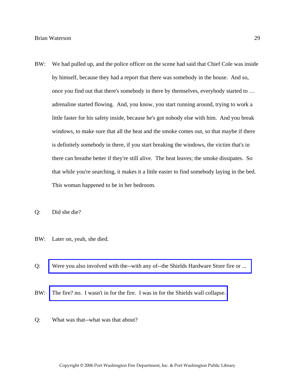BW: We had pulled up, and the police officer on the scene had said that Chief Cole was inside by himself, because they had a report that there was somebody in the house. And so, once you find out that there's somebody in there by themselves, everybody started to … adrenaline started flowing. And, you know, you start running around, trying to work a little faster for his safety inside, because he's got nobody else with him. And you break windows, to make sure that all the heat and the smoke comes out, so that maybe if there is definitely somebody in there, if you start breaking the windows, the victim that's in there can breathe better if they're still alive. The heat leaves; the smoke dissipates. So that while you're searching, it makes it a little easier to find somebody laying in the bed. This woman happened to be in her bedroom.

Q: Did she die?

- BW: Later on, yeah, she died.
- Q: [Were you also involved with the--with any of--the Shields Hardware Store fire or ...](http://www.pwfdhistory.com/trans/watersonb_trans/shieldshdw_pz.pdf)
- BW: [The fire? no. I wasn't in for the fire. I was in for the Shields wall collapse.](http://www.pwfdhistory.com/trans/watersonb_trans/dnews_960820_pz.pdf)
- Q: What was that--what was that about?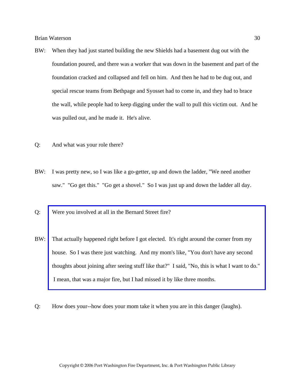- BW: When they had just started building the new Shields had a basement dug out with the foundation poured, and there was a worker that was down in the basement and part of the foundation cracked and collapsed and fell on him. And then he had to be dug out, and special rescue teams from Bethpage and Syosset had to come in, and they had to brace the wall, while people had to keep digging under the wall to pull this victim out. And he was pulled out, and he made it. He's alive.
- Q: And what was your role there?
- BW: I was pretty new, so I was like a go-getter, up and down the ladder, "We need another saw." "Go get this." "Go get a shovel." So I was just up and down the ladder all day.
- Q: Were you involved at all in the Bernard Street fire?
- BW: That actually happened right before I got elected. It's right around the corner from my house. So I was there just watching. And my mom's like, "You don't have any second [thoughts about joining after seeing stuff like that?" I said, "No, this is what I want to do."](http://www.pwfdhistory.com/trans/watersonb_trans/news_bernardst04_960208_hw.pdf)  I mean, that was a major fire, but I had missed it by like three months.
- Q: How does your--how does your mom take it when you are in this danger (laughs).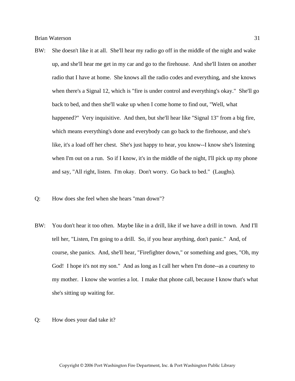- BW: She doesn't like it at all. She'll hear my radio go off in the middle of the night and wake up, and she'll hear me get in my car and go to the firehouse. And she'll listen on another radio that I have at home. She knows all the radio codes and everything, and she knows when there's a Signal 12, which is "fire is under control and everything's okay." She'll go back to bed, and then she'll wake up when I come home to find out, "Well, what happened?" Very inquisitive. And then, but she'll hear like "Signal 13" from a big fire, which means everything's done and everybody can go back to the firehouse, and she's like, it's a load off her chest. She's just happy to hear, you know--I know she's listening when I'm out on a run. So if I know, it's in the middle of the night, I'll pick up my phone and say, "All right, listen. I'm okay. Don't worry. Go back to bed." (Laughs).
- Q: How does she feel when she hears "man down"?
- BW: You don't hear it too often. Maybe like in a drill, like if we have a drill in town. And I'll tell her, "Listen, I'm going to a drill. So, if you hear anything, don't panic." And, of course, she panics. And, she'll hear, "Firefighter down," or something and goes, "Oh, my God! I hope it's not my son." And as long as I call her when I'm done--as a courtesy to my mother. I know she worries a lot. I make that phone call, because I know that's what she's sitting up waiting for.
- Q: How does your dad take it?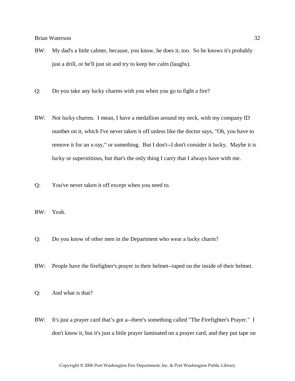- BW: My dad's a little calmer, because, you know, he does it, too. So he knows it's probably just a drill, or he'll just sit and try to keep her calm (laughs).
- Q: Do you take any lucky charms with you when you go to fight a fire?
- BW: Not lucky charms. I mean, I have a medallion around my neck, with my company ID number on it, which I've never taken it off unless like the doctor says, "Oh, you have to remove it for an x-ray," or something. But I don't--I don't consider it lucky. Maybe it is lucky or superstitious, but that's the only thing I carry that I always have with me.
- Q: You've never taken it off except when you need to.
- BW: Yeah.
- Q: Do you know of other men in the Department who wear a lucky charm?
- BW: People have the firefighter's prayer in their helmet--taped on the inside of their helmet.
- Q: And what is that?
- BW: It's just a prayer card that's got a--there's something called "The Firefighter's Prayer." I don't know it, but it's just a little prayer laminated on a prayer card, and they put tape on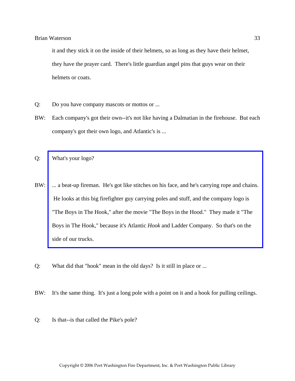it and they stick it on the inside of their helmets, so as long as they have their helmet, they have the prayer card. There's little guardian angel pins that guys wear on their helmets or coats.

- Q: Do you have company mascots or mottos or ...
- BW: Each company's got their own--it's not like having a Dalmatian in the firehouse. But each company's got their own logo, and Atlantic's is ...
- Q: What's your logo?
- BW: ... a beat-up fireman. He's got like stitches on his face, and he's carrying rope and chains. He looks at this big firefighter guy carrying poles and stuff, and the company logo is "The Boys in The Hook," after the movie "The Boys in the Hood." They made it "The Boys in The Hook," because it's Atlantic *Hook* and Ladder Company. So that's on the side of our trucks.
- Q: What did that "hook" mean in the old days? Is it still in place or ...
- BW: It's the same thing. It's just a long pole with a point on it and a hook for pulling ceilings.
- Q: Is that--is that called the Pike's pole?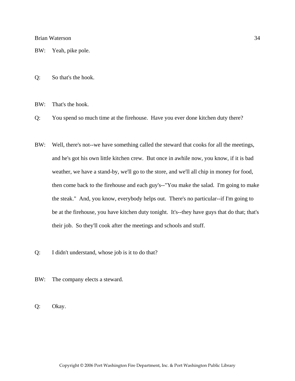BW: Yeah, pike pole.

Q: So that's the hook.

BW: That's the hook.

Q: You spend so much time at the firehouse. Have you ever done kitchen duty there?

- BW: Well, there's not--we have something called the steward that cooks for all the meetings, and he's got his own little kitchen crew. But once in awhile now, you know, if it is bad weather, we have a stand-by, we'll go to the store, and we'll all chip in money for food, then come back to the firehouse and each guy's--"You make the salad. I'm going to make the steak." And, you know, everybody helps out. There's no particular--if I'm going to be at the firehouse, you have kitchen duty tonight. It's--they have guys that do that; that's their job. So they'll cook after the meetings and schools and stuff.
- Q: I didn't understand, whose job is it to do that?
- BW: The company elects a steward.

Q: Okay.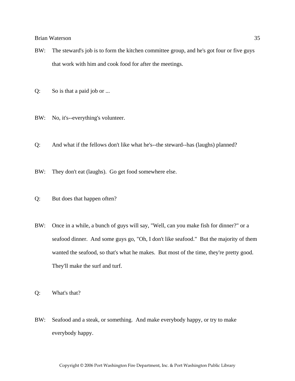- BW: The steward's job is to form the kitchen committee group, and he's got four or five guys that work with him and cook food for after the meetings.
- Q: So is that a paid job or ...
- BW: No, it's--everything's volunteer.
- Q: And what if the fellows don't like what he's--the steward--has (laughs) planned?
- BW: They don't eat (laughs). Go get food somewhere else.
- Q: But does that happen often?
- BW: Once in a while, a bunch of guys will say, "Well, can you make fish for dinner?" or a seafood dinner. And some guys go, "Oh, I don't like seafood." But the majority of them wanted the seafood, so that's what he makes. But most of the time, they're pretty good. They'll make the surf and turf.
- Q: What's that?
- BW: Seafood and a steak, or something. And make everybody happy, or try to make everybody happy.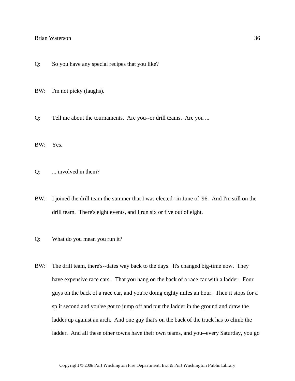- Q: So you have any special recipes that you like?
- BW: I'm not picky (laughs).
- Q: Tell me about the tournaments. Are you--or drill teams. Are you ...
- BW: Yes.
- Q: ... involved in them?
- BW: I joined the drill team the summer that I was elected--in June of '96. And I'm still on the drill team. There's eight events, and I run six or five out of eight.
- Q: What do you mean you run it?
- BW: The drill team, there's--dates way back to the days. It's changed big-time now. They have expensive race cars. That you hang on the back of a race car with a ladder. Four guys on the back of a race car, and you're doing eighty miles an hour. Then it stops for a split second and you've got to jump off and put the ladder in the ground and draw the ladder up against an arch. And one guy that's on the back of the truck has to climb the ladder. And all these other towns have their own teams, and you--every Saturday, you go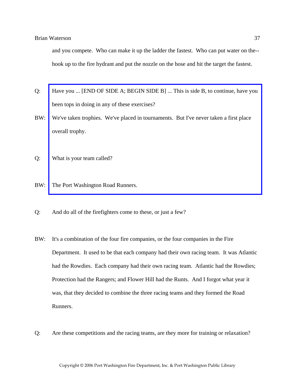and you compete. Who can make it up the ladder the fastest. Who can put water on the- hook up to the fire hydrant and put the nozzle on the hose and hit the target the fastest.

- Q: [Have you ... \[END OF SIDE A; BEGIN SIDE B\] ... This is side B, to continue, have you](http://www.pwfdhistory.com/trans/watersonb_trans/pwfd_racing030.jpg)  been tops in doing in any of these exercises?
- BW: We've taken trophies. We've placed in tournaments. But I've never taken a first place overall trophy.
- Q: What is your team called?
- BW: The Port Washington Road Runners.
- Q: And do all of the firefighters come to these, or just a few?
- BW: It's a combination of the four fire companies, or the four companies in the Fire Department. It used to be that each company had their own racing team. It was Atlantic had the Rowdies. Each company had their own racing team. Atlantic had the Rowdies; Protection had the Rangers; and Flower Hill had the Runts. And I forgot what year it was, that they decided to combine the three racing teams and they formed the Road Runners.
- Q: Are these competitions and the racing teams, are they more for training or relaxation?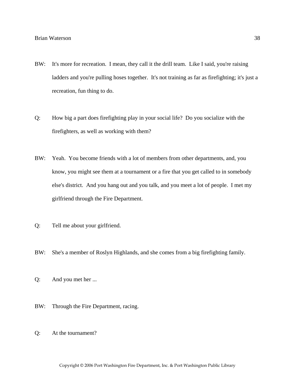- BW: It's more for recreation. I mean, they call it the drill team. Like I said, you're raising ladders and you're pulling hoses together. It's not training as far as firefighting; it's just a recreation, fun thing to do.
- Q: How big a part does firefighting play in your social life? Do you socialize with the firefighters, as well as working with them?
- BW: Yeah. You become friends with a lot of members from other departments, and, you know, you might see them at a tournament or a fire that you get called to in somebody else's district. And you hang out and you talk, and you meet a lot of people. I met my girlfriend through the Fire Department.
- Q: Tell me about your girlfriend.
- BW: She's a member of Roslyn Highlands, and she comes from a big firefighting family.
- Q: And you met her ...
- BW: Through the Fire Department, racing.
- Q: At the tournament?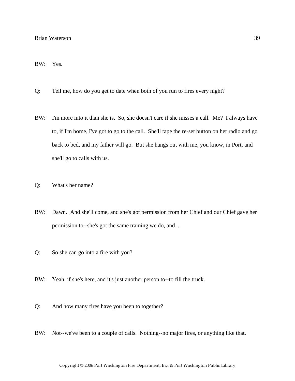#### BW: Yes.

- Q: Tell me, how do you get to date when both of you run to fires every night?
- BW: I'm more into it than she is. So, she doesn't care if she misses a call. Me? I always have to, if I'm home, I've got to go to the call. She'll tape the re-set button on her radio and go back to bed, and my father will go. But she hangs out with me, you know, in Port, and she'll go to calls with us.
- Q: What's her name?
- BW: Dawn. And she'll come, and she's got permission from her Chief and our Chief gave her permission to--she's got the same training we do, and ...
- Q: So she can go into a fire with you?
- BW: Yeah, if she's here, and it's just another person to--to fill the truck.
- Q: And how many fires have you been to together?
- BW: Not--we've been to a couple of calls. Nothing--no major fires, or anything like that.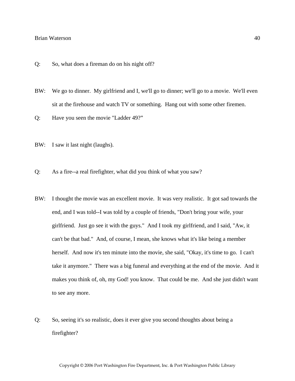- Q: So, what does a fireman do on his night off?
- BW: We go to dinner. My girlfriend and I, we'll go to dinner; we'll go to a movie. We'll even sit at the firehouse and watch TV or something. Hang out with some other firemen.
- Q: Have you seen the movie "Ladder 49?"
- BW: I saw it last night (laughs).
- Q: As a fire--a real firefighter, what did you think of what you saw?
- BW: I thought the movie was an excellent movie. It was very realistic. It got sad towards the end, and I was told--I was told by a couple of friends, "Don't bring your wife, your girlfriend. Just go see it with the guys." And I took my girlfriend, and I said, "Aw, it can't be that bad." And, of course, I mean, she knows what it's like being a member herself. And now it's ten minute into the movie, she said, "Okay, it's time to go. I can't take it anymore." There was a big funeral and everything at the end of the movie. And it makes you think of, oh, my God! you know. That could be me. And she just didn't want to see any more.
- Q: So, seeing it's so realistic, does it ever give you second thoughts about being a firefighter?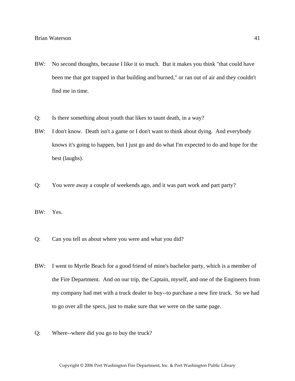- BW: No second thoughts, because I like it so much. But it makes you think "that could have been me that got trapped in that building and burned," or ran out of air and they couldn't find me in time.
- Q: Is there something about youth that likes to taunt death, in a way?
- BW: I don't know. Death isn't a game or I don't want to think about dying. And everybody knows it's going to happen, but I just go and do what I'm expected to do and hope for the best (laughs).
- Q: You were away a couple of weekends ago, and it was part work and part party?
- BW: Yes.
- Q: Can you tell us about where you were and what you did?
- BW: I went to Myrtle Beach for a good friend of mine's bachelor party, which is a member of the Fire Department. And on our trip, the Captain, myself, and one of the Engineers from my company had met with a truck dealer to buy--to purchase a new fire truck. So we had to go over all the specs, just to make sure that we were on the same page.
- Q: Where--where did you go to buy the truck?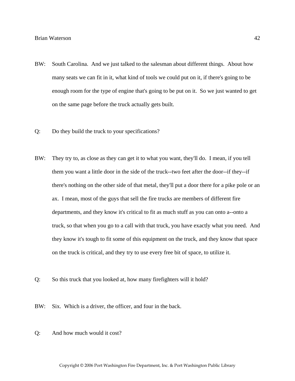- BW: South Carolina. And we just talked to the salesman about different things. About how many seats we can fit in it, what kind of tools we could put on it, if there's going to be enough room for the type of engine that's going to be put on it. So we just wanted to get on the same page before the truck actually gets built.
- Q: Do they build the truck to your specifications?
- BW: They try to, as close as they can get it to what you want, they'll do. I mean, if you tell them you want a little door in the side of the truck--two feet after the door--if they--if there's nothing on the other side of that metal, they'll put a door there for a pike pole or an ax. I mean, most of the guys that sell the fire trucks are members of different fire departments, and they know it's critical to fit as much stuff as you can onto a--onto a truck, so that when you go to a call with that truck, you have exactly what you need. And they know it's tough to fit some of this equipment on the truck, and they know that space on the truck is critical, and they try to use every free bit of space, to utilize it.
- Q: So this truck that you looked at, how many firefighters will it hold?
- BW: Six. Which is a driver, the officer, and four in the back.
- Q: And how much would it cost?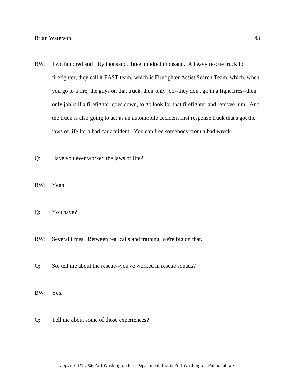- BW: Two hundred and fifty thousand, three hundred thousand. A heavy rescue truck for firefighter, they call it FAST team, which is Firefighter Assist Search Team, which, when you go to a fire, the guys on that truck, their only job--they don't go in a fight fires--their only job is if a firefighter goes down, to go look for that firefighter and remove him. And the truck is also going to act as an automobile accident first response truck that's got the jaws of life for a bad car accident. You can free somebody from a bad wreck.
- Q: Have you ever worked the jaws of life?
- BW: Yeah.
- Q: You have?
- BW: Several times. Between real calls and training, we're big on that.
- Q: So, tell me about the rescue--you've worked in rescue squads?
- BW: Yes.
- Q: Tell me about some of those experiences?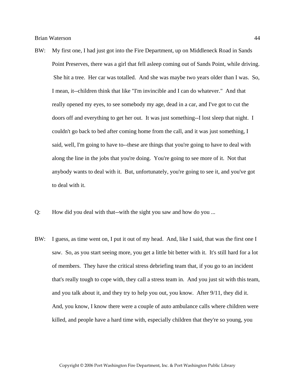- BW: My first one, I had just got into the Fire Department, up on Middleneck Road in Sands Point Preserves, there was a girl that fell asleep coming out of Sands Point, while driving. She hit a tree. Her car was totalled. And she was maybe two years older than I was. So, I mean, it--children think that like "I'm invincible and I can do whatever." And that really opened my eyes, to see somebody my age, dead in a car, and I've got to cut the doors off and everything to get her out. It was just something--I lost sleep that night. I couldn't go back to bed after coming home from the call, and it was just something, I said, well, I'm going to have to--these are things that you're going to have to deal with along the line in the jobs that you're doing. You're going to see more of it. Not that anybody wants to deal with it. But, unfortunately, you're going to see it, and you've got to deal with it.
- Q: How did you deal with that--with the sight you saw and how do you ...
- BW: I guess, as time went on, I put it out of my head. And, like I said, that was the first one I saw. So, as you start seeing more, you get a little bit better with it. It's still hard for a lot of members. They have the critical stress debriefing team that, if you go to an incident that's really tough to cope with, they call a stress team in. And you just sit with this team, and you talk about it, and they try to help you out, you know. After 9/11, they did it. And, you know, I know there were a couple of auto ambulance calls where children were killed, and people have a hard time with, especially children that they're so young, you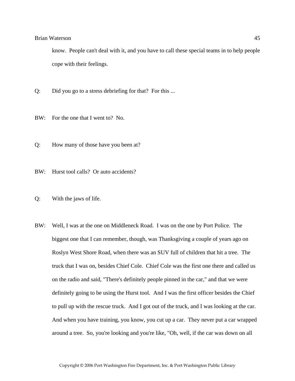know. People can't deal with it, and you have to call these special teams in to help people cope with their feelings.

- Q: Did you go to a stress debriefing for that? For this ...
- BW: For the one that I went to? No.
- Q: How many of those have you been at?
- BW: Hurst tool calls? Or auto accidents?
- Q: With the jaws of life.
- BW: Well, I was at the one on Middleneck Road. I was on the one by Port Police. The biggest one that I can remember, though, was Thanksgiving a couple of years ago on Roslyn West Shore Road, when there was an SUV full of children that hit a tree. The truck that I was on, besides Chief Cole. Chief Cole was the first one there and called us on the radio and said, "There's definitely people pinned in the car," and that we were definitely going to be using the Hurst tool. And I was the first officer besides the Chief to pull up with the rescue truck. And I got out of the truck, and I was looking at the car. And when you have training, you know, you cut up a car. They never put a car wrapped around a tree. So, you're looking and you're like, "Oh, well, if the car was down on all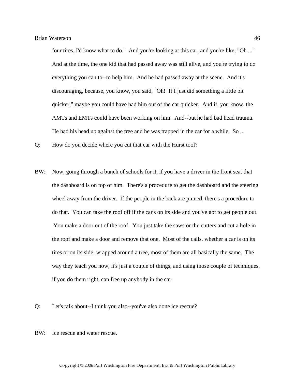four tires, I'd know what to do." And you're looking at this car, and you're like, "Oh ..." And at the time, the one kid that had passed away was still alive, and you're trying to do everything you can to--to help him. And he had passed away at the scene. And it's discouraging, because, you know, you said, "Oh! If I just did something a little bit quicker," maybe you could have had him out of the car quicker. And if, you know, the AMTs and EMTs could have been working on him. And--but he had bad head trauma. He had his head up against the tree and he was trapped in the car for a while. So ...

Q: How do you decide where you cut that car with the Hurst tool?

- BW: Now, going through a bunch of schools for it, if you have a driver in the front seat that the dashboard is on top of him. There's a procedure to get the dashboard and the steering wheel away from the driver. If the people in the back are pinned, there's a procedure to do that. You can take the roof off if the car's on its side and you've got to get people out. You make a door out of the roof. You just take the saws or the cutters and cut a hole in the roof and make a door and remove that one. Most of the calls, whether a car is on its tires or on its side, wrapped around a tree, most of them are all basically the same. The way they teach you now, it's just a couple of things, and using those couple of techniques, if you do them right, can free up anybody in the car.
- Q: Let's talk about--I think you also--you've also done ice rescue?
- BW: Ice rescue and water rescue.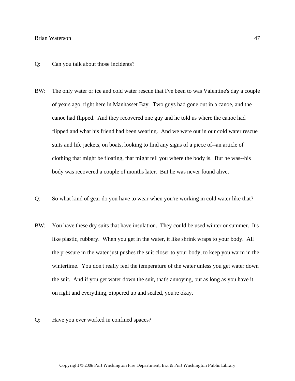- Q: Can you talk about those incidents?
- BW: The only water or ice and cold water rescue that I've been to was Valentine's day a couple of years ago, right here in Manhasset Bay. Two guys had gone out in a canoe, and the canoe had flipped. And they recovered one guy and he told us where the canoe had flipped and what his friend had been wearing. And we were out in our cold water rescue suits and life jackets, on boats, looking to find any signs of a piece of--an article of clothing that might be floating, that might tell you where the body is. But he was--his body was recovered a couple of months later. But he was never found alive.
- Q: So what kind of gear do you have to wear when you're working in cold water like that?
- BW: You have these dry suits that have insulation. They could be used winter or summer. It's like plastic, rubbery. When you get in the water, it like shrink wraps to your body. All the pressure in the water just pushes the suit closer to your body, to keep you warm in the wintertime. You don't really feel the temperature of the water unless you get water down the suit. And if you get water down the suit, that's annoying, but as long as you have it on right and everything, zippered up and sealed, you're okay.
- Q: Have you ever worked in confined spaces?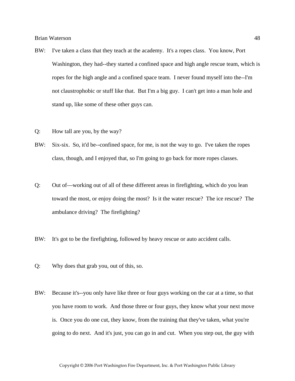- BW: I've taken a class that they teach at the academy. It's a ropes class. You know, Port Washington, they had--they started a confined space and high angle rescue team, which is ropes for the high angle and a confined space team. I never found myself into the--I'm not claustrophobic or stuff like that. But I'm a big guy. I can't get into a man hole and stand up, like some of these other guys can.
- Q: How tall are you, by the way?
- BW: Six-six. So, it'd be--confined space, for me, is not the way to go. I've taken the ropes class, though, and I enjoyed that, so I'm going to go back for more ropes classes.
- Q: Out of—working out of all of these different areas in firefighting, which do you lean toward the most, or enjoy doing the most? Is it the water rescue? The ice rescue? The ambulance driving? The firefighting?
- BW: It's got to be the firefighting, followed by heavy rescue or auto accident calls.
- Q: Why does that grab you, out of this, so.
- BW: Because it's--you only have like three or four guys working on the car at a time, so that you have room to work. And those three or four guys, they know what your next move is. Once you do one cut, they know, from the training that they've taken, what you're going to do next. And it's just, you can go in and cut. When you step out, the guy with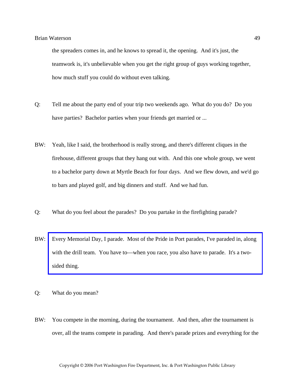the spreaders comes in, and he knows to spread it, the opening. And it's just, the teamwork is, it's unbelievable when you get the right group of guys working together, how much stuff you could do without even talking.

- Q: Tell me about the party end of your trip two weekends ago. What do you do? Do you have parties? Bachelor parties when your friends get married or ...
- BW: Yeah, like I said, the brotherhood is really strong, and there's different cliques in the firehouse, different groups that they hang out with. And this one whole group, we went to a bachelor party down at Myrtle Beach for four days. And we flew down, and we'd go to bars and played golf, and big dinners and stuff. And we had fun.
- Q: What do you feel about the parades? Do you partake in the firefighting parade?
- BW: [Every Memorial Day, I parade. Most of the Pride in Port parades, I've paraded in, along](http://www.pwfdhistory.com/trans/watersonb_trans/peco_parades021_web.jpg)  with the drill team. You have to—when you race, you also have to parade. It's a twosided thing.
- Q: What do you mean?
- BW: You compete in the morning, during the tournament. And then, after the tournament is over, all the teams compete in parading. And there's parade prizes and everything for the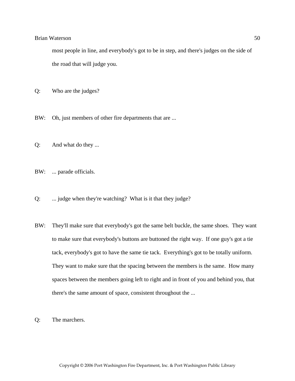most people in line, and everybody's got to be in step, and there's judges on the side of the road that will judge you.

- Q: Who are the judges?
- BW: Oh, just members of other fire departments that are ...
- Q: And what do they ...
- BW: ... parade officials.
- Q: ... judge when they're watching? What is it that they judge?
- BW: They'll make sure that everybody's got the same belt buckle, the same shoes. They want to make sure that everybody's buttons are buttoned the right way. If one guy's got a tie tack, everybody's got to have the same tie tack. Everything's got to be totally uniform. They want to make sure that the spacing between the members is the same. How many spaces between the members going left to right and in front of you and behind you, that there's the same amount of space, consistent throughout the ...
- Q: The marchers.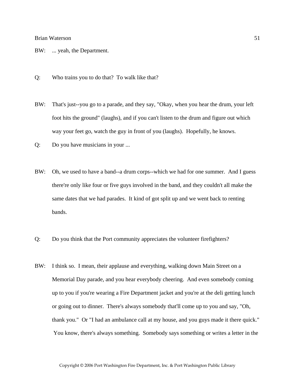- BW: ... yeah, the Department.
- Q: Who trains you to do that? To walk like that?
- BW: That's just--you go to a parade, and they say, "Okay, when you hear the drum, your left foot hits the ground" (laughs), and if you can't listen to the drum and figure out which way your feet go, watch the guy in front of you (laughs). Hopefully, he knows.
- Q: Do you have musicians in your ...
- BW: Oh, we used to have a band--a drum corps--which we had for one summer. And I guess there're only like four or five guys involved in the band, and they couldn't all make the same dates that we had parades. It kind of got split up and we went back to renting bands.
- Q: Do you think that the Port community appreciates the volunteer firefighters?
- BW: I think so. I mean, their applause and everything, walking down Main Street on a Memorial Day parade, and you hear everybody cheering. And even somebody coming up to you if you're wearing a Fire Department jacket and you're at the deli getting lunch or going out to dinner. There's always somebody that'll come up to you and say, "Oh, thank you." Or "I had an ambulance call at my house, and you guys made it there quick." You know, there's always something. Somebody says something or writes a letter in the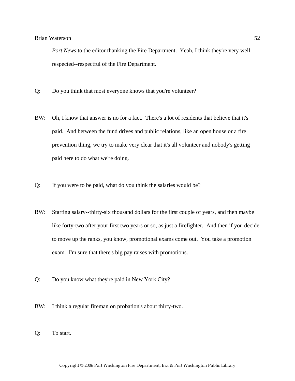Port News to the editor thanking the Fire Department. Yeah, I think they're very well respected--respectful of the Fire Department.

- Q: Do you think that most everyone knows that you're volunteer?
- BW: Oh, I know that answer is no for a fact. There's a lot of residents that believe that it's paid. And between the fund drives and public relations, like an open house or a fire prevention thing, we try to make very clear that it's all volunteer and nobody's getting paid here to do what we're doing.
- Q: If you were to be paid, what do you think the salaries would be?
- BW: Starting salary--thirty-six thousand dollars for the first couple of years, and then maybe like forty-two after your first two years or so, as just a firefighter. And then if you decide to move up the ranks, you know, promotional exams come out. You take a promotion exam. I'm sure that there's big pay raises with promotions.
- Q: Do you know what they're paid in New York City?
- BW: I think a regular fireman on probation's about thirty-two.
- Q: To start.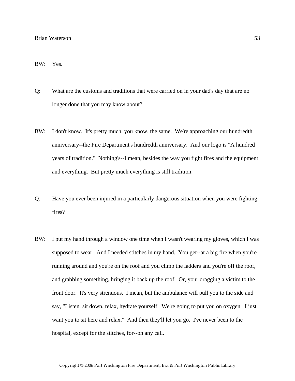#### BW: Yes.

- Q: What are the customs and traditions that were carried on in your dad's day that are no longer done that you may know about?
- BW: I don't know. It's pretty much, you know, the same. We're approaching our hundredth anniversary--the Fire Department's hundredth anniversary. And our logo is "A hundred years of tradition." Nothing's--I mean, besides the way you fight fires and the equipment and everything. But pretty much everything is still tradition.
- Q: Have you ever been injured in a particularly dangerous situation when you were fighting fires?
- BW: I put my hand through a window one time when I wasn't wearing my gloves, which I was supposed to wear. And I needed stitches in my hand. You get--at a big fire when you're running around and you're on the roof and you climb the ladders and you're off the roof, and grabbing something, bringing it back up the roof. Or, your dragging a victim to the front door. It's very strenuous. I mean, but the ambulance will pull you to the side and say, "Listen, sit down, relax, hydrate yourself. We're going to put you on oxygen. I just want you to sit here and relax." And then they'll let you go. I've never been to the hospital, except for the stitches, for--on any call.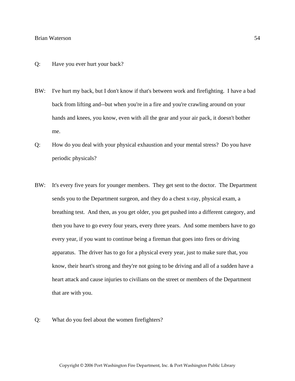- Q: Have you ever hurt your back?
- BW: I've hurt my back, but I don't know if that's between work and firefighting. I have a bad back from lifting and--but when you're in a fire and you're crawling around on your hands and knees, you know, even with all the gear and your air pack, it doesn't bother me.
- Q: How do you deal with your physical exhaustion and your mental stress? Do you have periodic physicals?
- BW: It's every five years for younger members. They get sent to the doctor. The Department sends you to the Department surgeon, and they do a chest x-ray, physical exam, a breathing test. And then, as you get older, you get pushed into a different category, and then you have to go every four years, every three years. And some members have to go every year, if you want to continue being a fireman that goes into fires or driving apparatus. The driver has to go for a physical every year, just to make sure that, you know, their heart's strong and they're not going to be driving and all of a sudden have a heart attack and cause injuries to civilians on the street or members of the Department that are with you.
- Q: What do you feel about the women firefighters?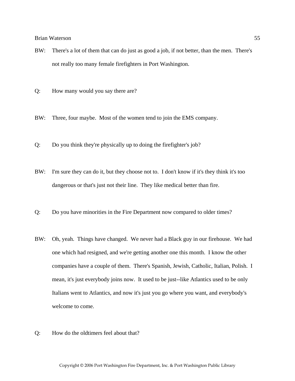- BW: There's a lot of them that can do just as good a job, if not better, than the men. There's not really too many female firefighters in Port Washington.
- Q: How many would you say there are?
- BW: Three, four maybe. Most of the women tend to join the EMS company.
- Q: Do you think they're physically up to doing the firefighter's job?
- BW: I'm sure they can do it, but they choose not to. I don't know if it's they think it's too dangerous or that's just not their line. They like medical better than fire.
- Q: Do you have minorities in the Fire Department now compared to older times?
- BW: Oh, yeah. Things have changed. We never had a Black guy in our firehouse. We had one which had resigned, and we're getting another one this month. I know the other companies have a couple of them. There's Spanish, Jewish, Catholic, Italian, Polish. I mean, it's just everybody joins now. It used to be just--like Atlantics used to be only Italians went to Atlantics, and now it's just you go where you want, and everybody's welcome to come.
- Q: How do the oldtimers feel about that?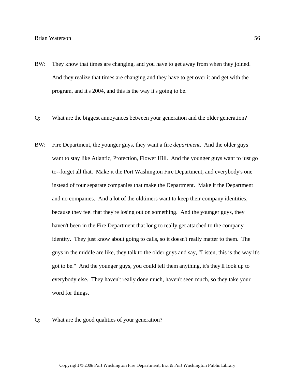- BW: They know that times are changing, and you have to get away from when they joined. And they realize that times are changing and they have to get over it and get with the program, and it's 2004, and this is the way it's going to be.
- Q: What are the biggest annoyances between your generation and the older generation?
- BW: Fire Department, the younger guys, they want a fire *department*. And the older guys want to stay like Atlantic, Protection, Flower Hill. And the younger guys want to just go to--forget all that. Make it the Port Washington Fire Department, and everybody's one instead of four separate companies that make the Department. Make it the Department and no companies. And a lot of the oldtimers want to keep their company identities, because they feel that they're losing out on something. And the younger guys, they haven't been in the Fire Department that long to really get attached to the company identity. They just know about going to calls, so it doesn't really matter to them. The guys in the middle are like, they talk to the older guys and say, "Listen, this is the way it's got to be." And the younger guys, you could tell them anything, it's they'll look up to everybody else. They haven't really done much, haven't seen much, so they take your word for things.

Q: What are the good qualities of your generation?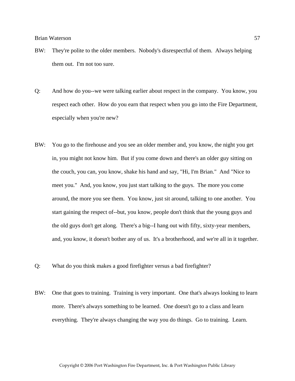- BW: They're polite to the older members. Nobody's disrespectful of them. Always helping them out. I'm not too sure.
- Q: And how do you--we were talking earlier about respect in the company. You know, you respect each other. How do you earn that respect when you go into the Fire Department, especially when you're new?
- BW: You go to the firehouse and you see an older member and, you know, the night you get in, you might not know him. But if you come down and there's an older guy sitting on the couch, you can, you know, shake his hand and say, "Hi, I'm Brian." And "Nice to meet you." And, you know, you just start talking to the guys. The more you come around, the more you see them. You know, just sit around, talking to one another. You start gaining the respect of--but, you know, people don't think that the young guys and the old guys don't get along. There's a big--I hang out with fifty, sixty-year members, and, you know, it doesn't bother any of us. It's a brotherhood, and we're all in it together.
- Q: What do you think makes a good firefighter versus a bad firefighter?
- BW: One that goes to training. Training is very important. One that's always looking to learn more. There's always something to be learned. One doesn't go to a class and learn everything. They're always changing the way you do things. Go to training. Learn.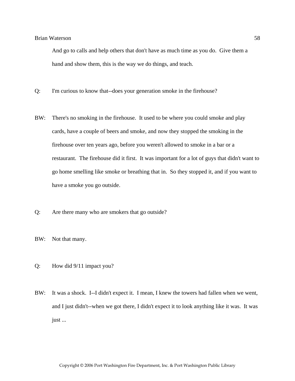And go to calls and help others that don't have as much time as you do. Give them a hand and show them, this is the way we do things, and teach.

- Q: I'm curious to know that--does your generation smoke in the firehouse?
- BW: There's no smoking in the firehouse. It used to be where you could smoke and play cards, have a couple of beers and smoke, and now they stopped the smoking in the firehouse over ten years ago, before you weren't allowed to smoke in a bar or a restaurant. The firehouse did it first. It was important for a lot of guys that didn't want to go home smelling like smoke or breathing that in. So they stopped it, and if you want to have a smoke you go outside.
- Q: Are there many who are smokers that go outside?
- BW: Not that many.
- Q: How did 9/11 impact you?
- BW: It was a shock. I--I didn't expect it. I mean, I knew the towers had fallen when we went, and I just didn't--when we got there, I didn't expect it to look anything like it was. It was just ...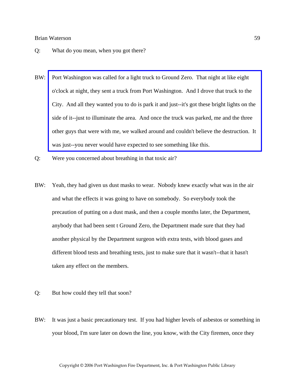- Q: What do you mean, when you got there?
- BW: Port Washington was called for a light truck to Ground Zero. That night at like eight o'clock at night, they sent a truck from Port Washington. And I drove that truck to the City. And all they wanted you to do is park it and just--it's got these bright lights on the side of it--just to illuminate the area. And once the truck was parked, me and the three [other guys that were with me, we walked around and couldn't believe the destruction. It](http://www.pwfdhistory.com/trans/watersonb_trans/pwfd_911008_web.jpg)  was just--you never would have expected to see something like this.
- Q: Were you concerned about breathing in that toxic air?
- BW: Yeah, they had given us dust masks to wear. Nobody knew exactly what was in the air and what the effects it was going to have on somebody. So everybody took the precaution of putting on a dust mask, and then a couple months later, the Department, anybody that had been sent t Ground Zero, the Department made sure that they had another physical by the Department surgeon with extra tests, with blood gases and different blood tests and breathing tests, just to make sure that it wasn't--that it hasn't taken any effect on the members.
- Q: But how could they tell that soon?
- BW: It was just a basic precautionary test. If you had higher levels of asbestos or something in your blood, I'm sure later on down the line, you know, with the City firemen, once they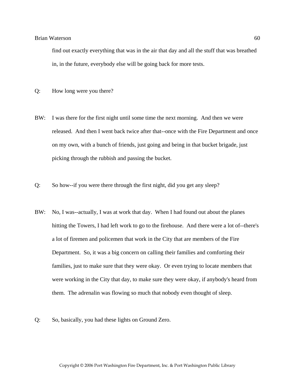find out exactly everything that was in the air that day and all the stuff that was breathed in, in the future, everybody else will be going back for more tests.

- Q: How long were you there?
- BW: I was there for the first night until some time the next morning. And then we were released. And then I went back twice after that--once with the Fire Department and once on my own, with a bunch of friends, just going and being in that bucket brigade, just picking through the rubbish and passing the bucket.
- Q: So how--if you were there through the first night, did you get any sleep?
- BW: No, I was--actually, I was at work that day. When I had found out about the planes hitting the Towers, I had left work to go to the firehouse. And there were a lot of--there's a lot of firemen and policemen that work in the City that are members of the Fire Department. So, it was a big concern on calling their families and comforting their families, just to make sure that they were okay. Or even trying to locate members that were working in the City that day, to make sure they were okay, if anybody's heard from them. The adrenalin was flowing so much that nobody even thought of sleep.
- Q: So, basically, you had these lights on Ground Zero.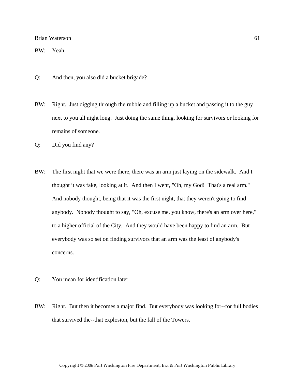BW: Yeah.

- Q: And then, you also did a bucket brigade?
- BW: Right. Just digging through the rubble and filling up a bucket and passing it to the guy next to you all night long. Just doing the same thing, looking for survivors or looking for remains of someone.
- Q: Did you find any?
- BW: The first night that we were there, there was an arm just laying on the sidewalk. And I thought it was fake, looking at it. And then I went, "Oh, my God! That's a real arm." And nobody thought, being that it was the first night, that they weren't going to find anybody. Nobody thought to say, "Oh, excuse me, you know, there's an arm over here," to a higher official of the City. And they would have been happy to find an arm. But everybody was so set on finding survivors that an arm was the least of anybody's concerns.
- Q: You mean for identification later.
- BW: Right. But then it becomes a major find. But everybody was looking for--for full bodies that survived the--that explosion, but the fall of the Towers.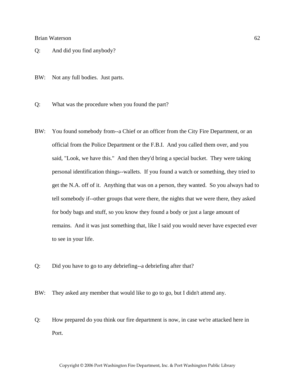- Q: And did you find anybody?
- BW: Not any full bodies. Just parts.
- Q: What was the procedure when you found the part?
- BW: You found somebody from--a Chief or an officer from the City Fire Department, or an official from the Police Department or the F.B.I. And you called them over, and you said, "Look, we have this." And then they'd bring a special bucket. They were taking personal identification things--wallets. If you found a watch or something, they tried to get the N.A. off of it. Anything that was on a person, they wanted. So you always had to tell somebody if--other groups that were there, the nights that we were there, they asked for body bags and stuff, so you know they found a body or just a large amount of remains. And it was just something that, like I said you would never have expected ever to see in your life.
- Q: Did you have to go to any debriefing--a debriefing after that?
- BW: They asked any member that would like to go to go, but I didn't attend any.
- Q: How prepared do you think our fire department is now, in case we're attacked here in Port.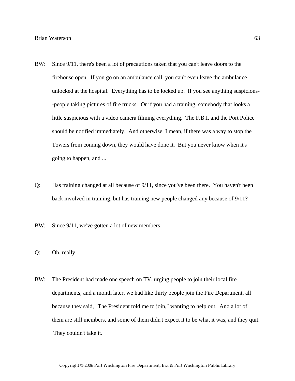- BW: Since 9/11, there's been a lot of precautions taken that you can't leave doors to the firehouse open. If you go on an ambulance call, you can't even leave the ambulance unlocked at the hospital. Everything has to be locked up. If you see anything suspicions- -people taking pictures of fire trucks. Or if you had a training, somebody that looks a little suspicious with a video camera filming everything. The F.B.I. and the Port Police should be notified immediately. And otherwise, I mean, if there was a way to stop the Towers from coming down, they would have done it. But you never know when it's going to happen, and ...
- Q: Has training changed at all because of 9/11, since you've been there. You haven't been back involved in training, but has training new people changed any because of 9/11?

BW: Since  $9/11$ , we've gotten a lot of new members.

- Q: Oh, really.
- BW: The President had made one speech on TV, urging people to join their local fire departments, and a month later, we had like thirty people join the Fire Department, all because they said, "The President told me to join," wanting to help out. And a lot of them are still members, and some of them didn't expect it to be what it was, and they quit. They couldn't take it.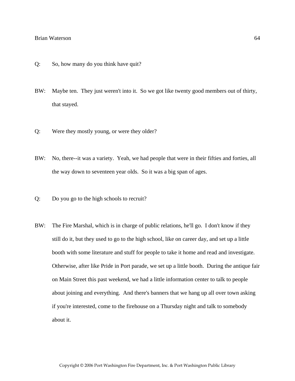- Q: So, how many do you think have quit?
- BW: Maybe ten. They just weren't into it. So we got like twenty good members out of thirty, that stayed.
- Q: Were they mostly young, or were they older?
- BW: No, there--it was a variety. Yeah, we had people that were in their fifties and forties, all the way down to seventeen year olds. So it was a big span of ages.
- Q: Do you go to the high schools to recruit?
- BW: The Fire Marshal, which is in charge of public relations, he'll go. I don't know if they still do it, but they used to go to the high school, like on career day, and set up a little booth with some literature and stuff for people to take it home and read and investigate. Otherwise, after like Pride in Port parade, we set up a little booth. During the antique fair on Main Street this past weekend, we had a little information center to talk to people about joining and everything. And there's banners that we hang up all over town asking if you're interested, come to the firehouse on a Thursday night and talk to somebody about it.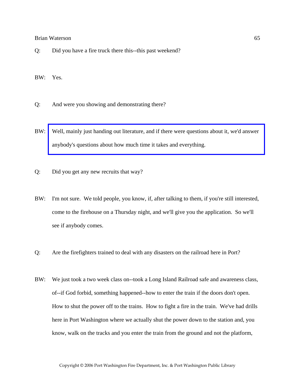Q: Did you have a fire truck there this--this past weekend?

BW: Yes.

- Q: And were you showing and demonstrating there?
- BW: [Well, mainly just handing out literature, and if there were questions about it, we'd answer](http://www.pwfdhistory.com/trans/watersonb_trans/pwfd_artifact003.pdf)  anybody's questions about how much time it takes and everything.
- Q: Did you get any new recruits that way?
- BW: I'm not sure. We told people, you know, if, after talking to them, if you're still interested, come to the firehouse on a Thursday night, and we'll give you the application. So we'll see if anybody comes.
- Q: Are the firefighters trained to deal with any disasters on the railroad here in Port?
- BW: We just took a two week class on--took a Long Island Railroad safe and awareness class, of--if God forbid, something happened--how to enter the train if the doors don't open. How to shut the power off to the trains. How to fight a fire in the train. We've had drills here in Port Washington where we actually shut the power down to the station and, you know, walk on the tracks and you enter the train from the ground and not the platform,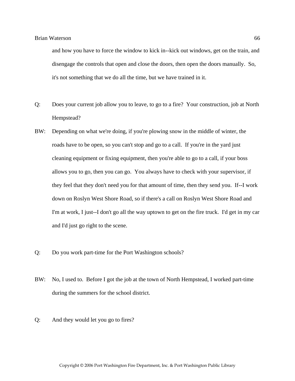and how you have to force the window to kick in--kick out windows, get on the train, and disengage the controls that open and close the doors, then open the doors manually. So, it's not something that we do all the time, but we have trained in it.

- Q: Does your current job allow you to leave, to go to a fire? Your construction, job at North Hempstead?
- BW: Depending on what we're doing, if you're plowing snow in the middle of winter, the roads have to be open, so you can't stop and go to a call. If you're in the yard just cleaning equipment or fixing equipment, then you're able to go to a call, if your boss allows you to go, then you can go. You always have to check with your supervisor, if they feel that they don't need you for that amount of time, then they send you. If--I work down on Roslyn West Shore Road, so if there's a call on Roslyn West Shore Road and I'm at work, I just--I don't go all the way uptown to get on the fire truck. I'd get in my car and I'd just go right to the scene.
- Q: Do you work part-time for the Port Washington schools?
- BW: No, I used to. Before I got the job at the town of North Hempstead, I worked part-time during the summers for the school district.
- Q: And they would let you go to fires?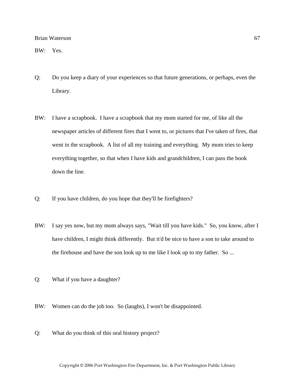BW: Yes.

- Q: Do you keep a diary of your experiences so that future generations, or perhaps, even the Library.
- BW: I have a scrapbook. I have a scrapbook that my mom started for me, of like all the newspaper articles of different fires that I went to, or pictures that I've taken of fires, that went in the scrapbook. A list of all my training and everything. My mom tries to keep everything together, so that when I have kids and grandchildren, I can pass the book down the line.
- Q: If you have children, do you hope that they'll be firefighters?
- BW: I say yes now, but my mom always says, "Wait till you have kids." So, you know, after I have children, I might think differently. But it'd be nice to have a son to take around to the firehouse and have the son look up to me like I look up to my father. So ...
- Q: What if you have a daughter?
- BW: Women can do the job too. So (laughs), I won't be disappointed.
- Q: What do you think of this oral history project?